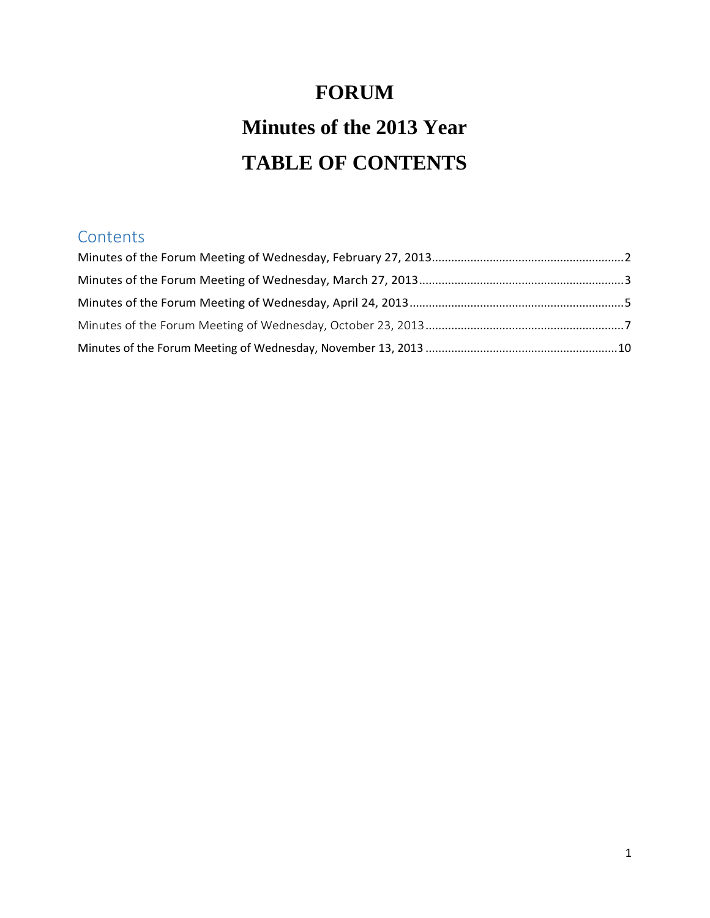# **FORUM Minutes of the 2013 Year TABLE OF CONTENTS**

### **Contents**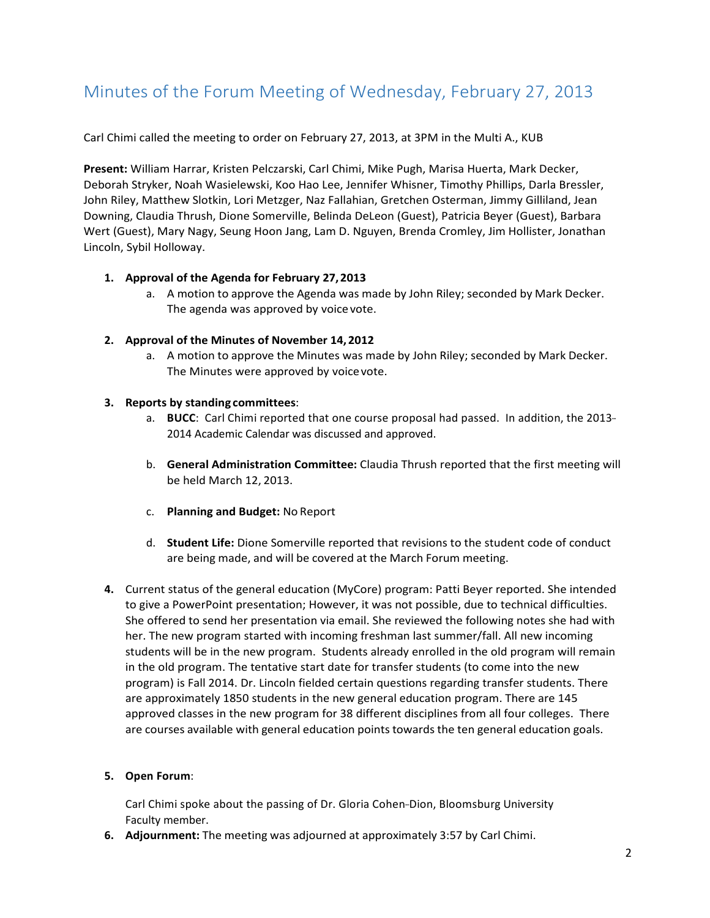# <span id="page-1-0"></span>Minutes of the Forum Meeting of Wednesday, February 27, 2013

Carl Chimi called the meeting to order on February 27, 2013, at 3PM in the Multi A., KUB

**Present:** William Harrar, Kristen Pelczarski, Carl Chimi, Mike Pugh, Marisa Huerta, Mark Decker, Deborah Stryker, Noah Wasielewski, Koo Hao Lee, Jennifer Whisner, Timothy Phillips, Darla Bressler, John Riley, Matthew Slotkin, Lori Metzger, Naz Fallahian, Gretchen Osterman, Jimmy Gilliland, Jean Downing, Claudia Thrush, Dione Somerville, Belinda DeLeon (Guest), Patricia Beyer (Guest), Barbara Wert (Guest), Mary Nagy, Seung Hoon Jang, Lam D. Nguyen, Brenda Cromley, Jim Hollister, Jonathan Lincoln, Sybil Holloway.

#### **1. Approval of the Agenda for February 27,2013**

a. A motion to approve the Agenda was made by John Riley; seconded by Mark Decker. The agenda was approved by voice vote.

#### **2. Approval of the Minutes of November 14,2012**

a. A motion to approve the Minutes was made by John Riley; seconded by Mark Decker. The Minutes were approved by voicevote.

#### **3. Reports by standing committees**:

- a. **BUCC**: Carl Chimi reported that one course proposal had passed. In addition, the 2013-2014 Academic Calendar was discussed and approved.
- b. **General Administration Committee:** Claudia Thrush reported that the first meeting will be held March 12, 2013.
- c. **Planning and Budget:** No Report
- d. **Student Life:** Dione Somerville reported that revisions to the student code of conduct are being made, and will be covered at the March Forum meeting.
- **4.** Current status of the general education (MyCore) program: Patti Beyer reported. She intended to give a PowerPoint presentation; However, it was not possible, due to technical difficulties. She offered to send her presentation via email. She reviewed the following notes she had with her. The new program started with incoming freshman last summer/fall. All new incoming students will be in the new program. Students already enrolled in the old program will remain in the old program. The tentative start date for transfer students (to come into the new program) is Fall 2014. Dr. Lincoln fielded certain questions regarding transfer students. There are approximately 1850 students in the new general education program. There are 145 approved classes in the new program for 38 different disciplines from all four colleges. There are courses available with general education points towards the ten general education goals.

#### **5. Open Forum**:

Carl Chimi spoke about the passing of Dr. Gloria Cohen-Dion, Bloomsburg University Faculty member.

**6. Adjournment:** The meeting was adjourned at approximately 3:57 by Carl Chimi.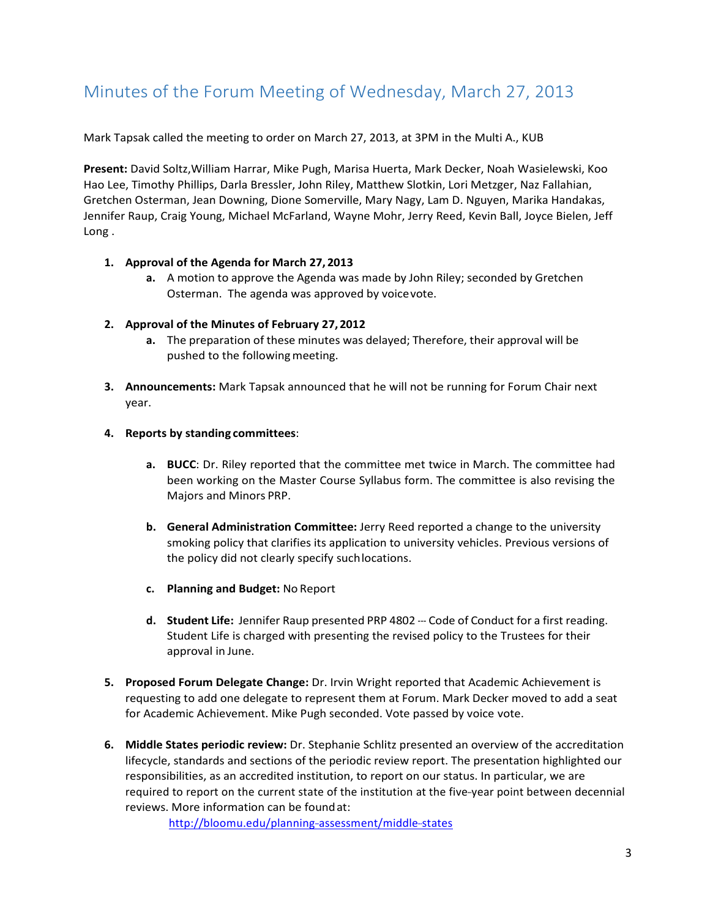## <span id="page-2-0"></span>Minutes of the Forum Meeting of Wednesday, March 27, 2013

Mark Tapsak called the meeting to order on March 27, 2013, at 3PM in the Multi A., KUB

**Present:** David Soltz,William Harrar, Mike Pugh, Marisa Huerta, Mark Decker, Noah Wasielewski, Koo Hao Lee, Timothy Phillips, Darla Bressler, John Riley, Matthew Slotkin, Lori Metzger, Naz Fallahian, Gretchen Osterman, Jean Downing, Dione Somerville, Mary Nagy, Lam D. Nguyen, Marika Handakas, Jennifer Raup, Craig Young, Michael McFarland, Wayne Mohr, Jerry Reed, Kevin Ball, Joyce Bielen, Jeff Long .

#### **1. Approval of the Agenda for March 27, 2013**

**a.** A motion to approve the Agenda was made by John Riley; seconded by Gretchen Osterman. The agenda was approved by voicevote.

#### **2. Approval of the Minutes of February 27,2012**

- **a.** The preparation of these minutes was delayed; Therefore, their approval will be pushed to the following meeting.
- **3. Announcements:** Mark Tapsak announced that he will not be running for Forum Chair next year.

#### **4. Reports by standing committees**:

- **a. BUCC**: Dr. Riley reported that the committee met twice in March. The committee had been working on the Master Course Syllabus form. The committee is also revising the Majors and Minors PRP.
- **b. General Administration Committee:** Jerry Reed reported a change to the university smoking policy that clarifies its application to university vehicles. Previous versions of the policy did not clearly specify suchlocations.
- **c. Planning and Budget:** No Report
- **d. Student Life:** Jennifer Raup presented PRP 4802 --- Code of Conduct for a first reading. Student Life is charged with presenting the revised policy to the Trustees for their approval in June.
- **5. Proposed Forum Delegate Change:** Dr. Irvin Wright reported that Academic Achievement is requesting to add one delegate to represent them at Forum. Mark Decker moved to add a seat for Academic Achievement. Mike Pugh seconded. Vote passed by voice vote.
- **6. Middle States periodic review:** Dr. Stephanie Schlitz presented an overview of the accreditation lifecycle, standards and sections of the periodic review report. The presentation highlighted our responsibilities, as an accredited institution, to report on our status. In particular, we are required to report on the current state of the institution at the five-year point between decennial reviews. More information can be foundat:

http://bloomu.edu/planning-assessment/middle-states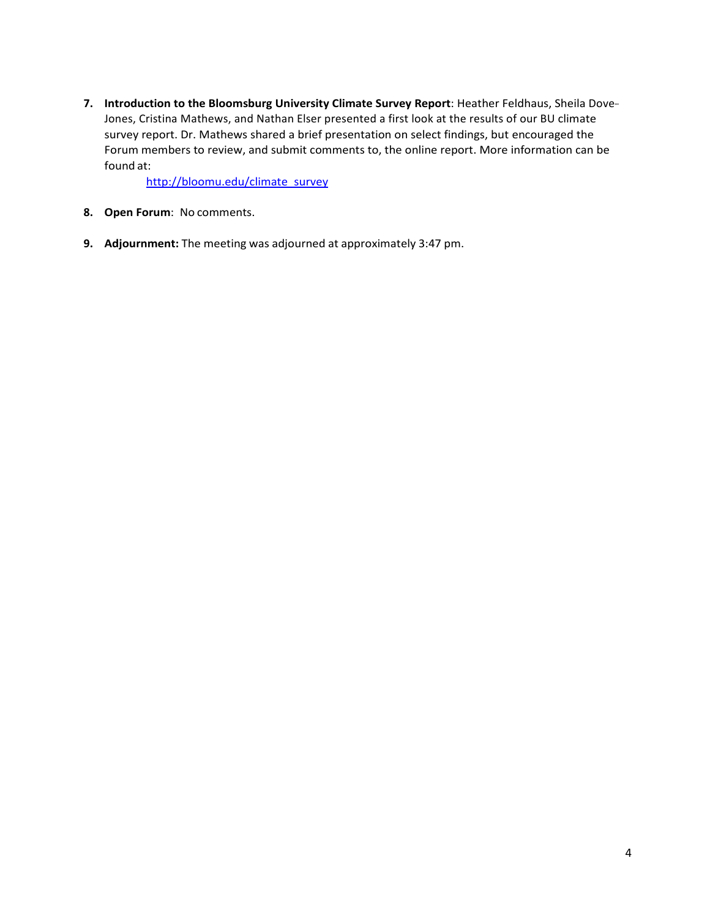**7. Introduction to the Bloomsburg University Climate Survey Report**: Heather Feldhaus, Sheila Dove--- Jones, Cristina Mathews, and Nathan Elser presented a first look at the results of our BU climate survey report. Dr. Mathews shared a brief presentation on select findings, but encouraged the Forum members to review, and submit comments to, the online report. More information can be found at:

[http://bloomu.edu/climate\\_survey](http://bloomu.edu/climate_survey)

- **8. Open Forum**: No comments.
- **9. Adjournment:** The meeting was adjourned at approximately 3:47 pm.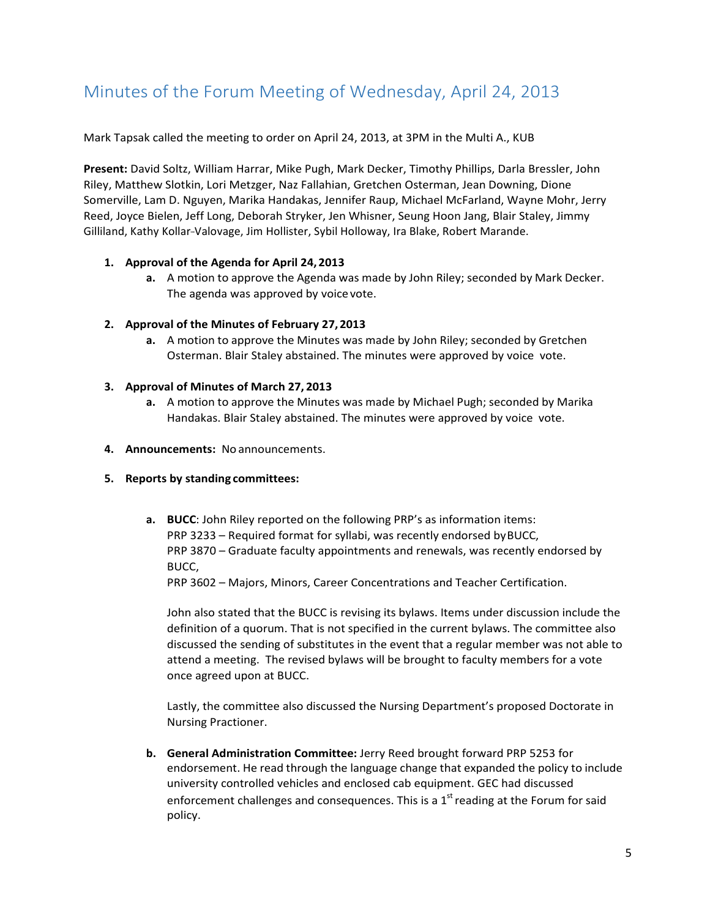# <span id="page-4-0"></span>Minutes of the Forum Meeting of Wednesday, April 24, 2013

Mark Tapsak called the meeting to order on April 24, 2013, at 3PM in the Multi A., KUB

**Present:** David Soltz, William Harrar, Mike Pugh, Mark Decker, Timothy Phillips, Darla Bressler, John Riley, Matthew Slotkin, Lori Metzger, Naz Fallahian, Gretchen Osterman, Jean Downing, Dione Somerville, Lam D. Nguyen, Marika Handakas, Jennifer Raup, Michael McFarland, Wayne Mohr, Jerry Reed, Joyce Bielen, Jeff Long, Deborah Stryker, Jen Whisner, Seung Hoon Jang, Blair Staley, Jimmy Gilliland, Kathy Kollar-Valovage, Jim Hollister, Sybil Holloway, Ira Blake, Robert Marande.

#### **1. Approval of the Agenda for April 24, 2013**

**a.** A motion to approve the Agenda was made by John Riley; seconded by Mark Decker. The agenda was approved by voice vote.

#### **2. Approval of the Minutes of February 27,2013**

**a.** A motion to approve the Minutes was made by John Riley; seconded by Gretchen Osterman. Blair Staley abstained. The minutes were approved by voice vote.

#### **3. Approval of Minutes of March 27, 2013**

- **a.** A motion to approve the Minutes was made by Michael Pugh; seconded by Marika Handakas. Blair Staley abstained. The minutes were approved by voice vote.
- **4. Announcements:** No announcements.

### **5. Reports by standing committees:**

**a. BUCC**: John Riley reported on the following PRP's as information items: PRP 3233 – Required format for syllabi, was recently endorsed byBUCC, PRP 3870 – Graduate faculty appointments and renewals, was recently endorsed by BUCC,

PRP 3602 – Majors, Minors, Career Concentrations and Teacher Certification.

John also stated that the BUCC is revising its bylaws. Items under discussion include the definition of a quorum. That is not specified in the current bylaws. The committee also discussed the sending of substitutes in the event that a regular member was not able to attend a meeting. The revised bylaws will be brought to faculty members for a vote once agreed upon at BUCC.

Lastly, the committee also discussed the Nursing Department's proposed Doctorate in Nursing Practioner.

**b. General Administration Committee:** Jerry Reed brought forward PRP 5253 for endorsement. He read through the language change that expanded the policy to include university controlled vehicles and enclosed cab equipment. GEC had discussed enforcement challenges and consequences. This is a  $1<sup>st</sup>$  reading at the Forum for said policy.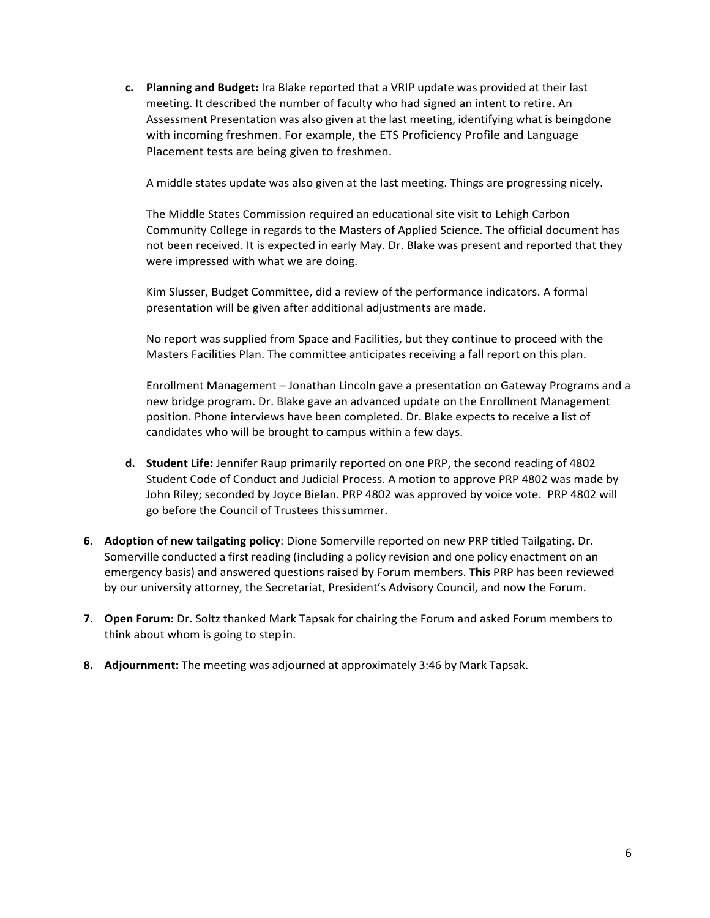**c. Planning and Budget:** Ira Blake reported that a VRIP update was provided at their last meeting. It described the number of faculty who had signed an intent to retire. An Assessment Presentation was also given at the last meeting, identifying what is beingdone with incoming freshmen. For example, the ETS Proficiency Profile and Language Placement tests are being given to freshmen.

A middle states update was also given at the last meeting. Things are progressing nicely.

The Middle States Commission required an educational site visit to Lehigh Carbon Community College in regards to the Masters of Applied Science. The official document has not been received. It is expected in early May. Dr. Blake was present and reported that they were impressed with what we are doing.

Kim Slusser, Budget Committee, did a review of the performance indicators. A formal presentation will be given after additional adjustments are made.

No report was supplied from Space and Facilities, but they continue to proceed with the Masters Facilities Plan. The committee anticipates receiving a fall report on this plan.

Enrollment Management – Jonathan Lincoln gave a presentation on Gateway Programs and a new bridge program. Dr. Blake gave an advanced update on the Enrollment Management position. Phone interviews have been completed. Dr. Blake expects to receive a list of candidates who will be brought to campus within a few days.

- **d. Student Life:** Jennifer Raup primarily reported on one PRP, the second reading of 4802 Student Code of Conduct and Judicial Process. A motion to approve PRP 4802 was made by John Riley; seconded by Joyce Bielan. PRP 4802 was approved by voice vote. PRP 4802 will go before the Council of Trustees thissummer.
- **6. Adoption of new tailgating policy**: Dione Somerville reported on new PRP titled Tailgating. Dr. Somerville conducted a first reading (including a policy revision and one policy enactment on an emergency basis) and answered questions raised by Forum members. **This** PRP has been reviewed by our university attorney, the Secretariat, President's Advisory Council, and now the Forum.
- **7. Open Forum:** Dr. Soltz thanked Mark Tapsak for chairing the Forum and asked Forum members to think about whom is going to stepin.
- **8. Adjournment:** The meeting was adjourned at approximately 3:46 by Mark Tapsak.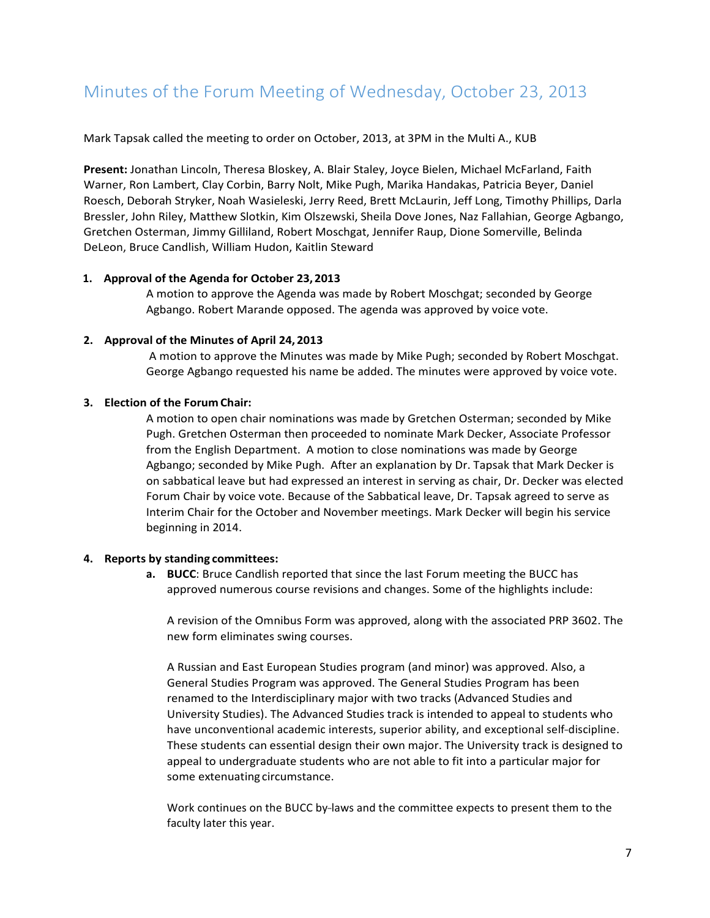## <span id="page-6-0"></span>Minutes of the Forum Meeting of Wednesday, October 23, 2013

Mark Tapsak called the meeting to order on October, 2013, at 3PM in the Multi A., KUB

**Present:** Jonathan Lincoln, Theresa Bloskey, A. Blair Staley, Joyce Bielen, Michael McFarland, Faith Warner, Ron Lambert, Clay Corbin, Barry Nolt, Mike Pugh, Marika Handakas, Patricia Beyer, Daniel Roesch, Deborah Stryker, Noah Wasieleski, Jerry Reed, Brett McLaurin, Jeff Long, Timothy Phillips, Darla Bressler, John Riley, Matthew Slotkin, Kim Olszewski, Sheila Dove Jones, Naz Fallahian, George Agbango, Gretchen Osterman, Jimmy Gilliland, Robert Moschgat, Jennifer Raup, Dione Somerville, Belinda DeLeon, Bruce Candlish, William Hudon, Kaitlin Steward

#### **1. Approval of the Agenda for October 23,2013**

A motion to approve the Agenda was made by Robert Moschgat; seconded by George Agbango. Robert Marande opposed. The agenda was approved by voice vote.

#### **2. Approval of the Minutes of April 24, 2013**

A motion to approve the Minutes was made by Mike Pugh; seconded by Robert Moschgat. George Agbango requested his name be added. The minutes were approved by voice vote.

### **3. Election of the Forum Chair:**

A motion to open chair nominations was made by Gretchen Osterman; seconded by Mike Pugh. Gretchen Osterman then proceeded to nominate Mark Decker, Associate Professor from the English Department. A motion to close nominations was made by George Agbango; seconded by Mike Pugh. After an explanation by Dr. Tapsak that Mark Decker is on sabbatical leave but had expressed an interest in serving as chair, Dr. Decker was elected Forum Chair by voice vote. Because of the Sabbatical leave, Dr. Tapsak agreed to serve as Interim Chair for the October and November meetings. Mark Decker will begin his service beginning in 2014.

#### **4. Reports by standing committees:**

**a. BUCC**: Bruce Candlish reported that since the last Forum meeting the BUCC has approved numerous course revisions and changes. Some of the highlights include:

A revision of the Omnibus Form was approved, along with the associated PRP 3602. The new form eliminates swing courses.

A Russian and East European Studies program (and minor) was approved. Also, a General Studies Program was approved. The General Studies Program has been renamed to the Interdisciplinary major with two tracks (Advanced Studies and University Studies). The Advanced Studies track is intended to appeal to students who have unconventional academic interests, superior ability, and exceptional self-discipline. These students can essential design their own major. The University track is designed to appeal to undergraduate students who are not able to fit into a particular major for some extenuating circumstance.

Work continues on the BUCC by-laws and the committee expects to present them to the faculty later this year.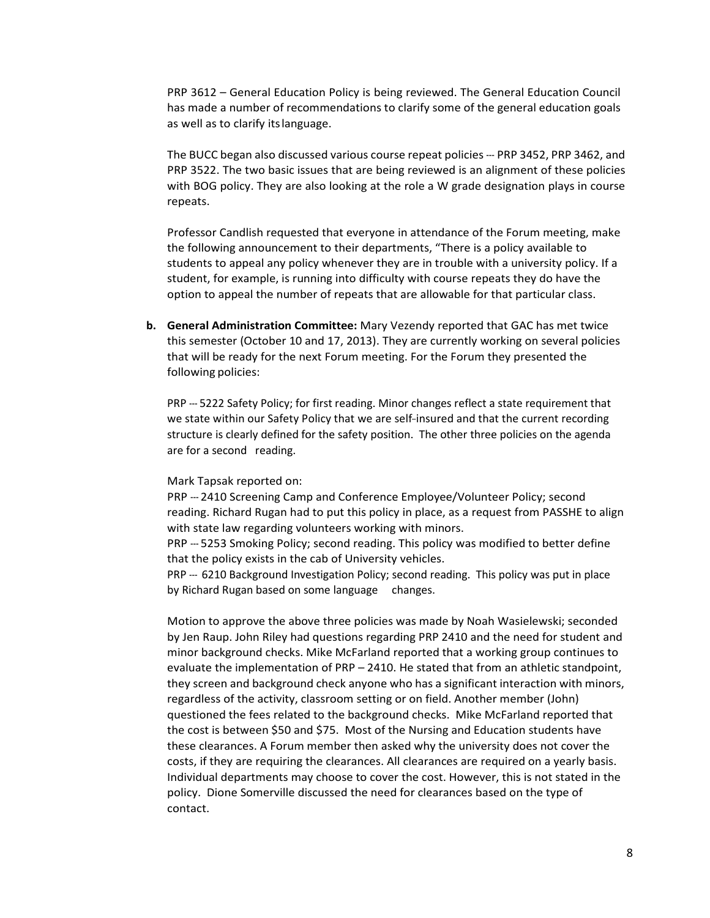PRP 3612 – General Education Policy is being reviewed. The General Education Council has made a number of recommendations to clarify some of the general education goals as well as to clarify itslanguage.

The BUCC began also discussed various course repeat policies --- PRP 3452, PRP 3462, and PRP 3522. The two basic issues that are being reviewed is an alignment of these policies with BOG policy. They are also looking at the role a W grade designation plays in course repeats.

Professor Candlish requested that everyone in attendance of the Forum meeting, make the following announcement to their departments, "There is a policy available to students to appeal any policy whenever they are in trouble with a university policy. If a student, for example, is running into difficulty with course repeats they do have the option to appeal the number of repeats that are allowable for that particular class.

**b. General Administration Committee:** Mary Vezendy reported that GAC has met twice this semester (October 10 and 17, 2013). They are currently working on several policies that will be ready for the next Forum meeting. For the Forum they presented the following policies:

PRP --- 5222 Safety Policy; for first reading. Minor changes reflect a state requirement that we state within our Safety Policy that we are self-insured and that the current recording structure is clearly defined for the safety position. The other three policies on the agenda are for a second reading.

#### Mark Tapsak reported on:

PRP --- 2410 Screening Camp and Conference Employee/Volunteer Policy; second reading. Richard Rugan had to put this policy in place, as a request from PASSHE to align with state law regarding volunteers working with minors.

PRP --- 5253 Smoking Policy; second reading. This policy was modified to better define that the policy exists in the cab of University vehicles.

PRP --- 6210 Background Investigation Policy; second reading. This policy was put in place by Richard Rugan based on some language changes.

Motion to approve the above three policies was made by Noah Wasielewski; seconded by Jen Raup. John Riley had questions regarding PRP 2410 and the need for student and minor background checks. Mike McFarland reported that a working group continues to evaluate the implementation of PRP – 2410. He stated that from an athletic standpoint, they screen and background check anyone who has a significant interaction with minors, regardless of the activity, classroom setting or on field. Another member (John) questioned the fees related to the background checks. Mike McFarland reported that the cost is between \$50 and \$75. Most of the Nursing and Education students have these clearances. A Forum member then asked why the university does not cover the costs, if they are requiring the clearances. All clearances are required on a yearly basis. Individual departments may choose to cover the cost. However, this is not stated in the policy. Dione Somerville discussed the need for clearances based on the type of contact.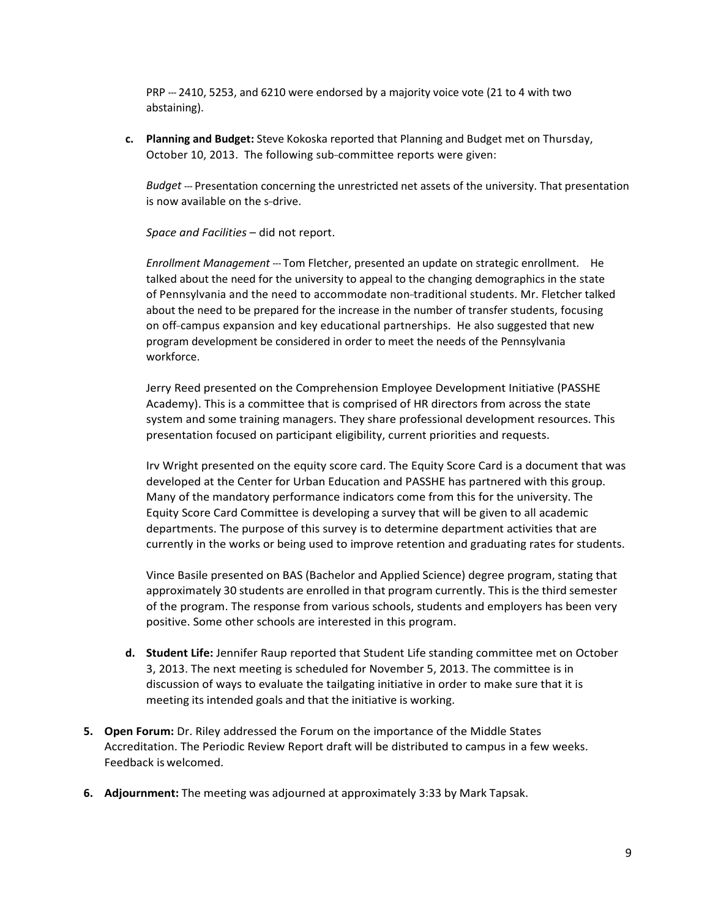PRP --- 2410, 5253, and 6210 were endorsed by a majority voice vote (21 to 4 with two abstaining).

**c. Planning and Budget:** Steve Kokoska reported that Planning and Budget met on Thursday, October 10, 2013. The following sub-committee reports were given:

*Budget* --- Presentation concerning the unrestricted net assets of the university. That presentation is now available on the s-drive.

*Space and Facilities* – did not report.

*Enrollment Management* --- Tom Fletcher, presented an update on strategic enrollment. He talked about the need for the university to appeal to the changing demographics in the state of Pennsylvania and the need to accommodate non-traditional students. Mr. Fletcher talked about the need to be prepared for the increase in the number of transfer students, focusing on off-campus expansion and key educational partnerships. He also suggested that new program development be considered in order to meet the needs of the Pennsylvania workforce.

Jerry Reed presented on the Comprehension Employee Development Initiative (PASSHE Academy). This is a committee that is comprised of HR directors from across the state system and some training managers. They share professional development resources. This presentation focused on participant eligibility, current priorities and requests.

Irv Wright presented on the equity score card. The Equity Score Card is a document that was developed at the Center for Urban Education and PASSHE has partnered with this group. Many of the mandatory performance indicators come from this for the university. The Equity Score Card Committee is developing a survey that will be given to all academic departments. The purpose of this survey is to determine department activities that are currently in the works or being used to improve retention and graduating rates for students.

Vince Basile presented on BAS (Bachelor and Applied Science) degree program, stating that approximately 30 students are enrolled in that program currently. This is the third semester of the program. The response from various schools, students and employers has been very positive. Some other schools are interested in this program.

- **d. Student Life:** Jennifer Raup reported that Student Life standing committee met on October 3, 2013. The next meeting is scheduled for November 5, 2013. The committee is in discussion of ways to evaluate the tailgating initiative in order to make sure that it is meeting its intended goals and that the initiative is working.
- **5. Open Forum:** Dr. Riley addressed the Forum on the importance of the Middle States Accreditation. The Periodic Review Report draft will be distributed to campus in a few weeks. Feedback is welcomed.
- **6. Adjournment:** The meeting was adjourned at approximately 3:33 by Mark Tapsak.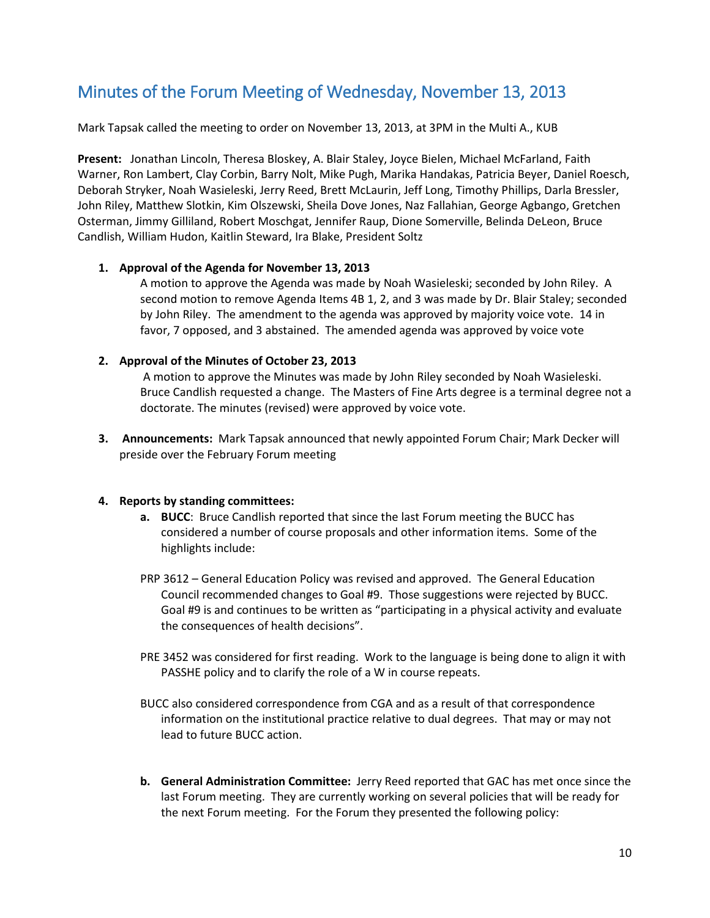### <span id="page-9-0"></span>Minutes of the Forum Meeting of Wednesday, November 13, 2013

Mark Tapsak called the meeting to order on November 13, 2013, at 3PM in the Multi A., KUB

**Present:** Jonathan Lincoln, Theresa Bloskey, A. Blair Staley, Joyce Bielen, Michael McFarland, Faith Warner, Ron Lambert, Clay Corbin, Barry Nolt, Mike Pugh, Marika Handakas, Patricia Beyer, Daniel Roesch, Deborah Stryker, Noah Wasieleski, Jerry Reed, Brett McLaurin, Jeff Long, Timothy Phillips, Darla Bressler, John Riley, Matthew Slotkin, Kim Olszewski, Sheila Dove Jones, Naz Fallahian, George Agbango, Gretchen Osterman, Jimmy Gilliland, Robert Moschgat, Jennifer Raup, Dione Somerville, Belinda DeLeon, Bruce Candlish, William Hudon, Kaitlin Steward, Ira Blake, President Soltz

### **1. Approval of the Agenda for November 13, 2013**

A motion to approve the Agenda was made by Noah Wasieleski; seconded by John Riley. A second motion to remove Agenda Items 4B 1, 2, and 3 was made by Dr. Blair Staley; seconded by John Riley. The amendment to the agenda was approved by majority voice vote. 14 in favor, 7 opposed, and 3 abstained. The amended agenda was approved by voice vote

#### **2. Approval of the Minutes of October 23, 2013**

A motion to approve the Minutes was made by John Riley seconded by Noah Wasieleski. Bruce Candlish requested a change. The Masters of Fine Arts degree is a terminal degree not a doctorate. The minutes (revised) were approved by voice vote.

**3. Announcements:** Mark Tapsak announced that newly appointed Forum Chair; Mark Decker will preside over the February Forum meeting

#### **4. Reports by standing committees:**

- **a. BUCC**: Bruce Candlish reported that since the last Forum meeting the BUCC has considered a number of course proposals and other information items. Some of the highlights include:
- PRP 3612 General Education Policy was revised and approved. The General Education Council recommended changes to Goal #9. Those suggestions were rejected by BUCC. Goal #9 is and continues to be written as "participating in a physical activity and evaluate the consequences of health decisions".
- PRE 3452 was considered for first reading. Work to the language is being done to align it with PASSHE policy and to clarify the role of a W in course repeats.
- BUCC also considered correspondence from CGA and as a result of that correspondence information on the institutional practice relative to dual degrees. That may or may not lead to future BUCC action.
- **b. General Administration Committee:** Jerry Reed reported that GAC has met once since the last Forum meeting. They are currently working on several policies that will be ready for the next Forum meeting. For the Forum they presented the following policy: